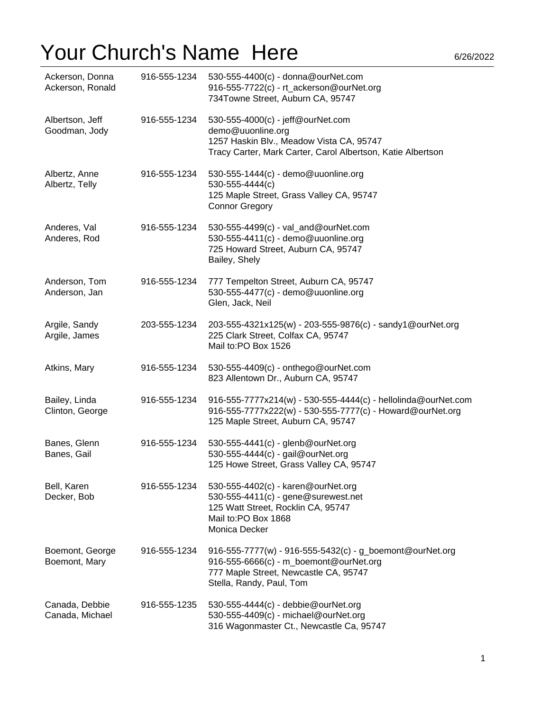| Ackerson, Donna<br>Ackerson, Ronald | 916-555-1234 | 530-555-4400(c) - donna@ourNet.com<br>916-555-7722(c) - rt_ackerson@ourNet.org<br>734Towne Street, Auburn CA, 95747                                                     |
|-------------------------------------|--------------|-------------------------------------------------------------------------------------------------------------------------------------------------------------------------|
| Albertson, Jeff<br>Goodman, Jody    | 916-555-1234 | 530-555-4000(c) - jeff@ourNet.com<br>demo@uuonline.org<br>1257 Haskin Blv., Meadow Vista CA, 95747<br>Tracy Carter, Mark Carter, Carol Albertson, Katie Albertson       |
| Albertz, Anne<br>Albertz, Telly     | 916-555-1234 | 530-555-1444(c) - demo@uuonline.org<br>530-555-4444(c)<br>125 Maple Street, Grass Valley CA, 95747<br><b>Connor Gregory</b>                                             |
| Anderes, Val<br>Anderes, Rod        | 916-555-1234 | 530-555-4499(c) - val_and@ourNet.com<br>530-555-4411(c) - demo@uuonline.org<br>725 Howard Street, Auburn CA, 95747<br>Bailey, Shely                                     |
| Anderson, Tom<br>Anderson, Jan      | 916-555-1234 | 777 Tempelton Street, Auburn CA, 95747<br>530-555-4477(c) - demo@uuonline.org<br>Glen, Jack, Neil                                                                       |
| Argile, Sandy<br>Argile, James      | 203-555-1234 | 203-555-4321x125(w) - 203-555-9876(c) - sandy1@ourNet.org<br>225 Clark Street, Colfax CA, 95747<br>Mail to:PO Box 1526                                                  |
| Atkins, Mary                        | 916-555-1234 | 530-555-4409(c) - onthego@ourNet.com<br>823 Allentown Dr., Auburn CA, 95747                                                                                             |
| Bailey, Linda<br>Clinton, George    | 916-555-1234 | 916-555-7777x214(w) - 530-555-4444(c) - hellolinda@ourNet.com<br>916-555-7777x222(w) - 530-555-7777(c) - Howard@ourNet.org<br>125 Maple Street, Auburn CA, 95747        |
| Banes, Glenn<br>Banes, Gail         | 916-555-1234 | 530-555-4441(c) - glenb@ourNet.org<br>530-555-4444(c) - gail@ourNet.org<br>125 Howe Street, Grass Valley CA, 95747                                                      |
| Bell, Karen<br>Decker, Bob          | 916-555-1234 | 530-555-4402(c) - karen@ourNet.org<br>530-555-4411(c) - gene@surewest.net<br>125 Watt Street, Rocklin CA, 95747<br>Mail to:PO Box 1868<br>Monica Decker                 |
| Boemont, George<br>Boemont, Mary    | 916-555-1234 | 916-555-7777(w) - 916-555-5432(c) - g_boemont@ourNet.org<br>916-555-6666(c) - m_boemont@ourNet.org<br>777 Maple Street, Newcastle CA, 95747<br>Stella, Randy, Paul, Tom |
| Canada, Debbie<br>Canada, Michael   | 916-555-1235 | 530-555-4444(c) - debbie@ourNet.org<br>530-555-4409(c) - michael@ourNet.org<br>316 Wagonmaster Ct., Newcastle Ca, 95747                                                 |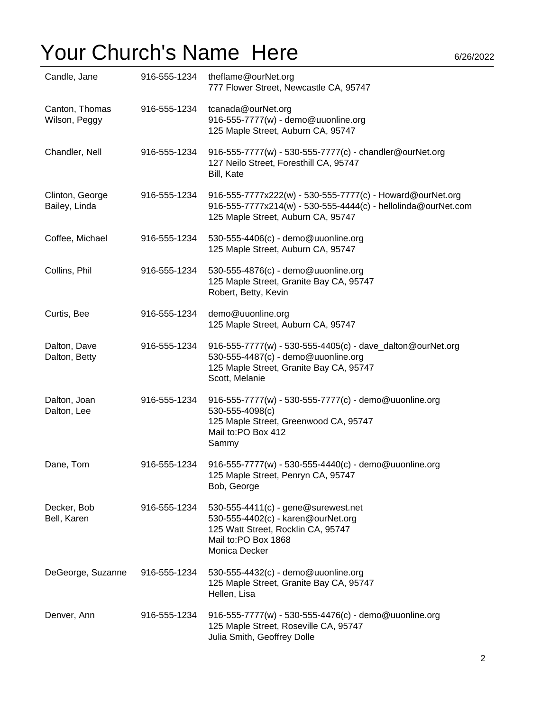| Candle, Jane                     | 916-555-1234 | theflame@ourNet.org<br>777 Flower Street, Newcastle CA, 95747                                                                                                    |
|----------------------------------|--------------|------------------------------------------------------------------------------------------------------------------------------------------------------------------|
| Canton, Thomas<br>Wilson, Peggy  | 916-555-1234 | tcanada@ourNet.org<br>916-555-7777(w) - demo@uuonline.org<br>125 Maple Street, Auburn CA, 95747                                                                  |
| Chandler, Nell                   | 916-555-1234 | 916-555-7777(w) - 530-555-7777(c) - chandler@ourNet.org<br>127 Neilo Street, Foresthill CA, 95747<br>Bill, Kate                                                  |
| Clinton, George<br>Bailey, Linda | 916-555-1234 | 916-555-7777x222(w) - 530-555-7777(c) - Howard@ourNet.org<br>916-555-7777x214(w) - 530-555-4444(c) - hellolinda@ourNet.com<br>125 Maple Street, Auburn CA, 95747 |
| Coffee, Michael                  | 916-555-1234 | 530-555-4406(c) - demo@uuonline.org<br>125 Maple Street, Auburn CA, 95747                                                                                        |
| Collins, Phil                    | 916-555-1234 | 530-555-4876(c) - demo@uuonline.org<br>125 Maple Street, Granite Bay CA, 95747<br>Robert, Betty, Kevin                                                           |
| Curtis, Bee                      | 916-555-1234 | demo@uuonline.org<br>125 Maple Street, Auburn CA, 95747                                                                                                          |
| Dalton, Dave<br>Dalton, Betty    | 916-555-1234 | 916-555-7777(w) - 530-555-4405(c) - dave_dalton@ourNet.org<br>530-555-4487(c) - demo@uuonline.org<br>125 Maple Street, Granite Bay CA, 95747<br>Scott, Melanie   |
| Dalton, Joan<br>Dalton, Lee      | 916-555-1234 | 916-555-7777(w) - 530-555-7777(c) - demo@uuonline.org<br>530-555-4098(c)<br>125 Maple Street, Greenwood CA, 95747<br>Mail to:PO Box 412<br>Sammy                 |
| Dane, Tom                        | 916-555-1234 | 916-555-7777(w) - 530-555-4440(c) - demo@uuonline.org<br>125 Maple Street, Penryn CA, 95747<br>Bob, George                                                       |
| Decker, Bob<br>Bell, Karen       | 916-555-1234 | 530-555-4411(c) - gene@surewest.net<br>530-555-4402(c) - karen@ourNet.org<br>125 Watt Street, Rocklin CA, 95747<br>Mail to:PO Box 1868<br>Monica Decker          |
| DeGeorge, Suzanne                | 916-555-1234 | 530-555-4432(c) - demo@uuonline.org<br>125 Maple Street, Granite Bay CA, 95747<br>Hellen, Lisa                                                                   |
| Denver, Ann                      | 916-555-1234 | 916-555-7777(w) - 530-555-4476(c) - demo@uuonline.org<br>125 Maple Street, Roseville CA, 95747<br>Julia Smith, Geoffrey Dolle                                    |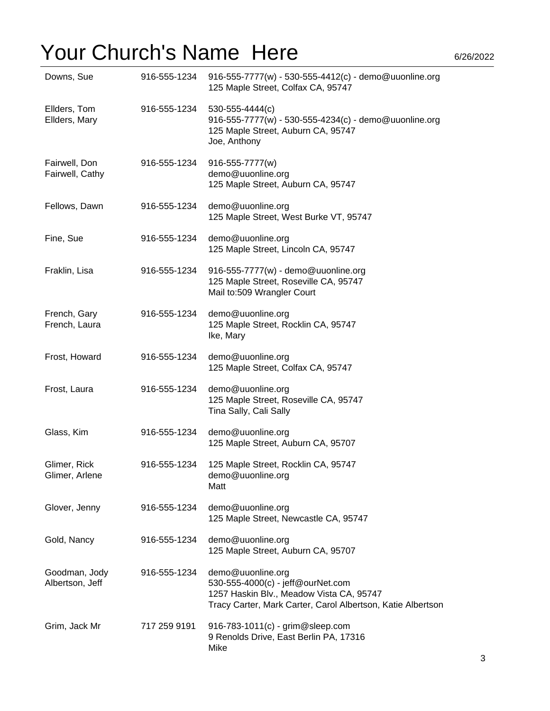| Downs, Sue                       | 916-555-1234 | 916-555-7777(w) - 530-555-4412(c) - demo@uuonline.org<br>125 Maple Street, Colfax CA, 95747                                                                       |
|----------------------------------|--------------|-------------------------------------------------------------------------------------------------------------------------------------------------------------------|
| Ellders, Tom<br>Ellders, Mary    | 916-555-1234 | 530-555-4444(c)<br>916-555-7777(w) - 530-555-4234(c) - demo@uuonline.org<br>125 Maple Street, Auburn CA, 95747<br>Joe, Anthony                                    |
| Fairwell, Don<br>Fairwell, Cathy | 916-555-1234 | 916-555-7777(w)<br>demo@uuonline.org<br>125 Maple Street, Auburn CA, 95747                                                                                        |
| Fellows, Dawn                    | 916-555-1234 | demo@uuonline.org<br>125 Maple Street, West Burke VT, 95747                                                                                                       |
| Fine, Sue                        | 916-555-1234 | demo@uuonline.org<br>125 Maple Street, Lincoln CA, 95747                                                                                                          |
| Fraklin, Lisa                    | 916-555-1234 | 916-555-7777(w) - demo@uuonline.org<br>125 Maple Street, Roseville CA, 95747<br>Mail to:509 Wrangler Court                                                        |
| French, Gary<br>French, Laura    | 916-555-1234 | demo@uuonline.org<br>125 Maple Street, Rocklin CA, 95747<br>Ike, Mary                                                                                             |
| Frost, Howard                    | 916-555-1234 | demo@uuonline.org<br>125 Maple Street, Colfax CA, 95747                                                                                                           |
| Frost, Laura                     | 916-555-1234 | demo@uuonline.org<br>125 Maple Street, Roseville CA, 95747<br>Tina Sally, Cali Sally                                                                              |
| Glass, Kim                       | 916-555-1234 | demo@uuonline.org<br>125 Maple Street, Auburn CA, 95707                                                                                                           |
| Glimer, Rick<br>Glimer, Arlene   | 916-555-1234 | 125 Maple Street, Rocklin CA, 95747<br>demo@uuonline.org<br>Matt                                                                                                  |
| Glover, Jenny                    | 916-555-1234 | demo@uuonline.org<br>125 Maple Street, Newcastle CA, 95747                                                                                                        |
| Gold, Nancy                      | 916-555-1234 | demo@uuonline.org<br>125 Maple Street, Auburn CA, 95707                                                                                                           |
| Goodman, Jody<br>Albertson, Jeff | 916-555-1234 | demo@uuonline.org<br>530-555-4000(c) - jeff@ourNet.com<br>1257 Haskin Blv., Meadow Vista CA, 95747<br>Tracy Carter, Mark Carter, Carol Albertson, Katie Albertson |
| Grim, Jack Mr                    | 717 259 9191 | 916-783-1011(c) - grim@sleep.com<br>9 Renolds Drive, East Berlin PA, 17316<br>Mike                                                                                |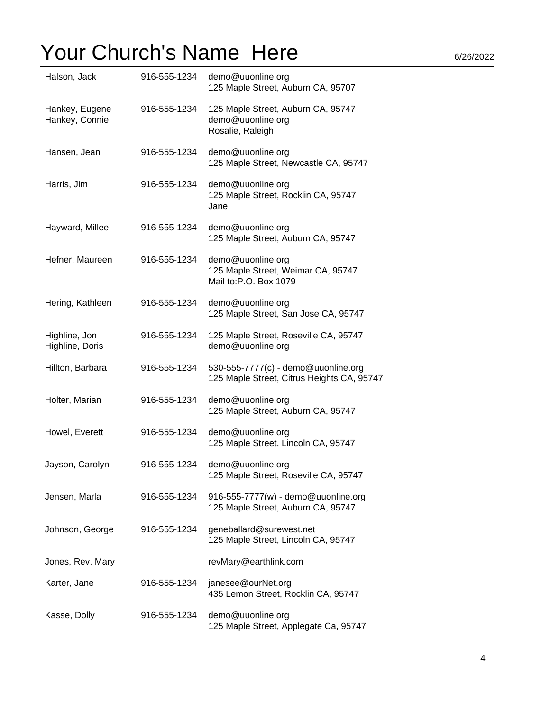| Halson, Jack                     | 916-555-1234 | demo@uuonline.org<br>125 Maple Street, Auburn CA, 95707                           |
|----------------------------------|--------------|-----------------------------------------------------------------------------------|
| Hankey, Eugene<br>Hankey, Connie | 916-555-1234 | 125 Maple Street, Auburn CA, 95747<br>demo@uuonline.org<br>Rosalie, Raleigh       |
| Hansen, Jean                     | 916-555-1234 | demo@uuonline.org<br>125 Maple Street, Newcastle CA, 95747                        |
| Harris, Jim                      | 916-555-1234 | demo@uuonline.org<br>125 Maple Street, Rocklin CA, 95747<br>Jane                  |
| Hayward, Millee                  | 916-555-1234 | demo@uuonline.org<br>125 Maple Street, Auburn CA, 95747                           |
| Hefner, Maureen                  | 916-555-1234 | demo@uuonline.org<br>125 Maple Street, Weimar CA, 95747<br>Mail to:P.O. Box 1079  |
| Hering, Kathleen                 | 916-555-1234 | demo@uuonline.org<br>125 Maple Street, San Jose CA, 95747                         |
| Highline, Jon<br>Highline, Doris | 916-555-1234 | 125 Maple Street, Roseville CA, 95747<br>demo@uuonline.org                        |
| Hillton, Barbara                 | 916-555-1234 | 530-555-7777(c) - demo@uuonline.org<br>125 Maple Street, Citrus Heights CA, 95747 |
| Holter, Marian                   | 916-555-1234 | demo@uuonline.org<br>125 Maple Street, Auburn CA, 95747                           |
| Howel, Everett                   | 916-555-1234 | demo@uuonline.org<br>125 Maple Street, Lincoln CA, 95747                          |
| Jayson, Carolyn                  | 916-555-1234 | demo@uuonline.org<br>125 Maple Street, Roseville CA, 95747                        |
| Jensen, Marla                    | 916-555-1234 | 916-555-7777(w) - demo@uuonline.org<br>125 Maple Street, Auburn CA, 95747         |
| Johnson, George                  | 916-555-1234 | geneballard@surewest.net<br>125 Maple Street, Lincoln CA, 95747                   |
| Jones, Rev. Mary                 |              | revMary@earthlink.com                                                             |
| Karter, Jane                     | 916-555-1234 | janesee@ourNet.org<br>435 Lemon Street, Rocklin CA, 95747                         |
| Kasse, Dolly                     | 916-555-1234 | demo@uuonline.org<br>125 Maple Street, Applegate Ca, 95747                        |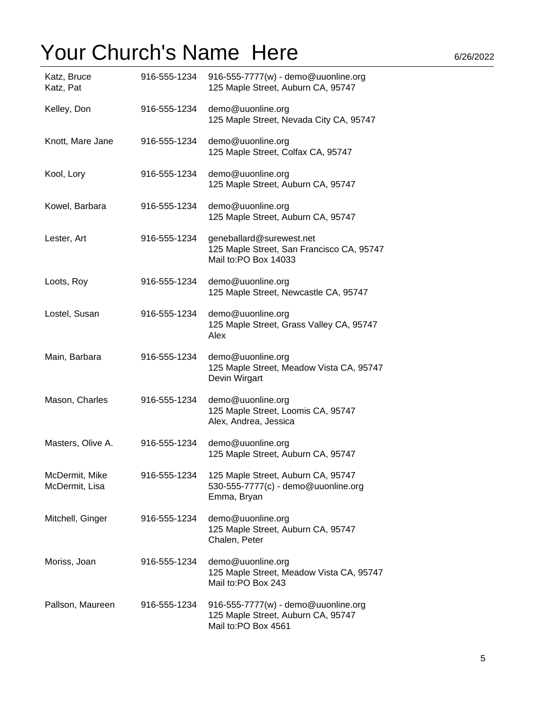| Katz, Bruce<br>Katz, Pat         | 916-555-1234 | 916-555-7777(w) - demo@uuonline.org<br>125 Maple Street, Auburn CA, 95747                        |
|----------------------------------|--------------|--------------------------------------------------------------------------------------------------|
| Kelley, Don                      | 916-555-1234 | demo@uuonline.org<br>125 Maple Street, Nevada City CA, 95747                                     |
| Knott, Mare Jane                 | 916-555-1234 | demo@uuonline.org<br>125 Maple Street, Colfax CA, 95747                                          |
| Kool, Lory                       | 916-555-1234 | demo@uuonline.org<br>125 Maple Street, Auburn CA, 95747                                          |
| Kowel, Barbara                   | 916-555-1234 | demo@uuonline.org<br>125 Maple Street, Auburn CA, 95747                                          |
| Lester, Art                      | 916-555-1234 | geneballard@surewest.net<br>125 Maple Street, San Francisco CA, 95747<br>Mail to:PO Box 14033    |
| Loots, Roy                       | 916-555-1234 | demo@uuonline.org<br>125 Maple Street, Newcastle CA, 95747                                       |
| Lostel, Susan                    | 916-555-1234 | demo@uuonline.org<br>125 Maple Street, Grass Valley CA, 95747<br>Alex                            |
| Main, Barbara                    | 916-555-1234 | demo@uuonline.org<br>125 Maple Street, Meadow Vista CA, 95747<br>Devin Wirgart                   |
| Mason, Charles                   | 916-555-1234 | demo@uuonline.org<br>125 Maple Street, Loomis CA, 95747<br>Alex, Andrea, Jessica                 |
| Masters, Olive A.                | 916-555-1234 | demo@uuonline.org<br>125 Maple Street, Auburn CA, 95747                                          |
| McDermit, Mike<br>McDermit, Lisa | 916-555-1234 | 125 Maple Street, Auburn CA, 95747<br>530-555-7777(c) - demo@uuonline.org<br>Emma, Bryan         |
| Mitchell, Ginger                 | 916-555-1234 | demo@uuonline.org<br>125 Maple Street, Auburn CA, 95747<br>Chalen, Peter                         |
| Moriss, Joan                     | 916-555-1234 | demo@uuonline.org<br>125 Maple Street, Meadow Vista CA, 95747<br>Mail to:PO Box 243              |
| Pallson, Maureen                 | 916-555-1234 | 916-555-7777(w) - demo@uuonline.org<br>125 Maple Street, Auburn CA, 95747<br>Mail to:PO Box 4561 |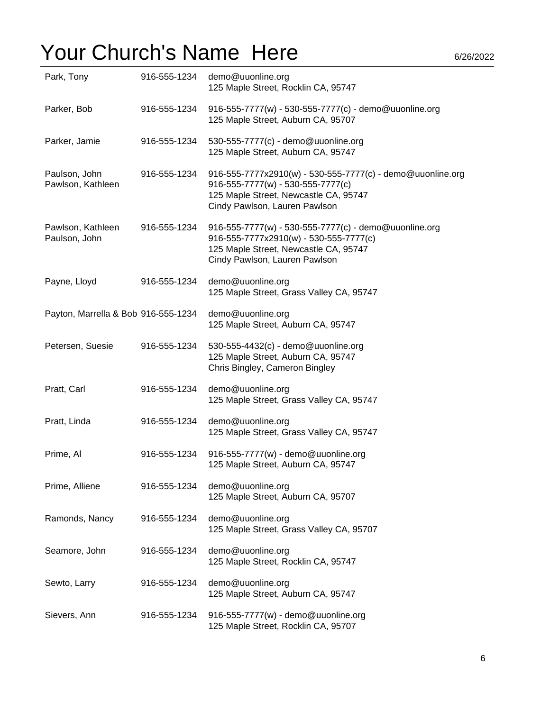| Park, Tony                          | 916-555-1234 | demo@uuonline.org<br>125 Maple Street, Rocklin CA, 95747                                                                                                                  |
|-------------------------------------|--------------|---------------------------------------------------------------------------------------------------------------------------------------------------------------------------|
| Parker, Bob                         | 916-555-1234 | 916-555-7777(w) - 530-555-7777(c) - demo@uuonline.org<br>125 Maple Street, Auburn CA, 95707                                                                               |
| Parker, Jamie                       | 916-555-1234 | 530-555-7777(c) - demo@uuonline.org<br>125 Maple Street, Auburn CA, 95747                                                                                                 |
| Paulson, John<br>Pawlson, Kathleen  | 916-555-1234 | 916-555-7777x2910(w) - 530-555-7777(c) - demo@uuonline.org<br>916-555-7777(w) - 530-555-7777(c)<br>125 Maple Street, Newcastle CA, 95747<br>Cindy Pawlson, Lauren Pawlson |
| Pawlson, Kathleen<br>Paulson, John  | 916-555-1234 | 916-555-7777(w) - 530-555-7777(c) - demo@uuonline.org<br>916-555-7777x2910(w) - 530-555-7777(c)<br>125 Maple Street, Newcastle CA, 95747<br>Cindy Pawlson, Lauren Pawlson |
| Payne, Lloyd                        | 916-555-1234 | demo@uuonline.org<br>125 Maple Street, Grass Valley CA, 95747                                                                                                             |
| Payton, Marrella & Bob 916-555-1234 |              | demo@uuonline.org<br>125 Maple Street, Auburn CA, 95747                                                                                                                   |
| Petersen, Suesie                    | 916-555-1234 | 530-555-4432(c) - demo@uuonline.org<br>125 Maple Street, Auburn CA, 95747<br>Chris Bingley, Cameron Bingley                                                               |
| Pratt, Carl                         | 916-555-1234 | demo@uuonline.org<br>125 Maple Street, Grass Valley CA, 95747                                                                                                             |
| Pratt, Linda                        | 916-555-1234 | demo@uuonline.org<br>125 Maple Street, Grass Valley CA, 95747                                                                                                             |
| Prime, Al                           | 916-555-1234 | 916-555-7777(w) - demo@uuonline.org<br>125 Maple Street, Auburn CA, 95747                                                                                                 |
| Prime, Alliene                      | 916-555-1234 | demo@uuonline.org<br>125 Maple Street, Auburn CA, 95707                                                                                                                   |
| Ramonds, Nancy                      | 916-555-1234 | demo@uuonline.org<br>125 Maple Street, Grass Valley CA, 95707                                                                                                             |
| Seamore, John                       | 916-555-1234 | demo@uuonline.org<br>125 Maple Street, Rocklin CA, 95747                                                                                                                  |
| Sewto, Larry                        | 916-555-1234 | demo@uuonline.org<br>125 Maple Street, Auburn CA, 95747                                                                                                                   |
| Sievers, Ann                        | 916-555-1234 | 916-555-7777(w) - demo@uuonline.org<br>125 Maple Street, Rocklin CA, 95707                                                                                                |